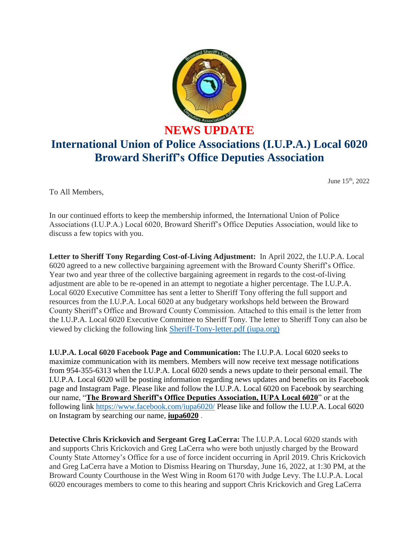

## **NEWS UPDATE International Union of Police Associations (I.U.P.A.) Local 6020 Broward Sheriff's Office Deputies Association**

June 15th, 2022

To All Members,

In our continued efforts to keep the membership informed, the International Union of Police Associations (I.U.P.A.) Local 6020, Broward Sheriff's Office Deputies Association, would like to discuss a few topics with you.

**Letter to Sheriff Tony Regarding Cost-of-Living Adjustment:** In April 2022, the I.U.P.A. Local 6020 agreed to a new collective bargaining agreement with the Broward County Sheriff's Office. Year two and year three of the collective bargaining agreement in regards to the cost-of-living adjustment are able to be re-opened in an attempt to negotiate a higher percentage. The I.U.P.A. Local 6020 Executive Committee has sent a letter to Sheriff Tony offering the full support and resources from the I.U.P.A. Local 6020 at any budgetary workshops held between the Broward County Sheriff's Office and Broward County Commission. Attached to this email is the letter from the I.U.P.A. Local 6020 Executive Committee to Sheriff Tony. The letter to Sheriff Tony can also be viewed by clicking the following link [Sheriff-Tony-letter.pdf \(iupa.org\)](https://6020.iupa.org/wp-content/uploads/2022/06/Sheriff-Tony-letter.pdf)

**I.U.P.A. Local 6020 Facebook Page and Communication:** The I.U.P.A. Local 6020 seeks to maximize communication with its members. Members will now receive text message notifications from 954-355-6313 when the I.U.P.A. Local 6020 sends a news update to their personal email. The I.U.P.A. Local 6020 will be posting information regarding news updates and benefits on its Facebook page and Instagram Page. Please like and follow the I.U.P.A. Local 6020 on Facebook by searching our name, "**The Broward Sheriff's Office Deputies Association, IUPA Local 6020**" or at the following link<https://www.facebook.com/iupa6020/> Please like and follow the I.U.P.A. Local 6020 on Instagram by searching our name, **iupa6020** .

**Detective Chris Krickovich and Sergeant Greg LaCerra:** The I.U.P.A. Local 6020 stands with and supports Chris Krickovich and Greg LaCerra who were both unjustly charged by the Broward County State Attorney's Office for a use of force incident occurring in April 2019. Chris Krickovich and Greg LaCerra have a Motion to Dismiss Hearing on Thursday, June 16, 2022, at 1:30 PM, at the Broward County Courthouse in the West Wing in Room 6170 with Judge Levy. The I.U.P.A. Local 6020 encourages members to come to this hearing and support Chris Krickovich and Greg LaCerra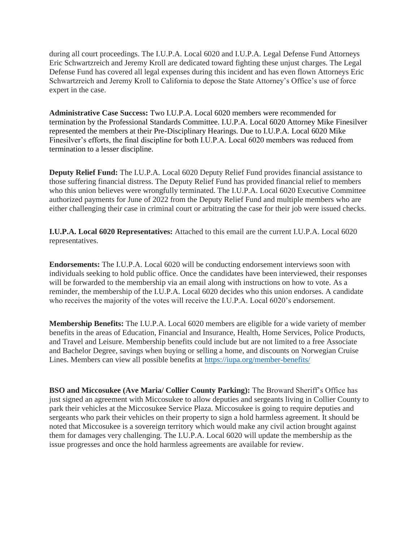during all court proceedings. The I.U.P.A. Local 6020 and I.U.P.A. Legal Defense Fund Attorneys Eric Schwartzreich and Jeremy Kroll are dedicated toward fighting these unjust charges. The Legal Defense Fund has covered all legal expenses during this incident and has even flown Attorneys Eric Schwartzreich and Jeremy Kroll to California to depose the State Attorney's Office's use of force expert in the case.

**Administrative Case Success:** Two I.U.P.A. Local 6020 members were recommended for termination by the Professional Standards Committee. I.U.P.A. Local 6020 Attorney Mike Finesilver represented the members at their Pre-Disciplinary Hearings. Due to I.U.P.A. Local 6020 Mike Finesilver's efforts, the final discipline for both I.U.P.A. Local 6020 members was reduced from termination to a lesser discipline.

**Deputy Relief Fund:** The I.U.P.A. Local 6020 Deputy Relief Fund provides financial assistance to those suffering financial distress. The Deputy Relief Fund has provided financial relief to members who this union believes were wrongfully terminated. The I.U.P.A. Local 6020 Executive Committee authorized payments for June of 2022 from the Deputy Relief Fund and multiple members who are either challenging their case in criminal court or arbitrating the case for their job were issued checks.

**I.U.P.A. Local 6020 Representatives:** Attached to this email are the current I.U.P.A. Local 6020 representatives.

**Endorsements:** The I.U.P.A. Local 6020 will be conducting endorsement interviews soon with individuals seeking to hold public office. Once the candidates have been interviewed, their responses will be forwarded to the membership via an email along with instructions on how to vote. As a reminder, the membership of the I.U.P.A. Local 6020 decides who this union endorses. A candidate who receives the majority of the votes will receive the I.U.P.A. Local 6020's endorsement.

**Membership Benefits:** The I.U.P.A. Local 6020 members are eligible for a wide variety of member benefits in the areas of Education, Financial and Insurance, Health, Home Services, Police Products, and Travel and Leisure. Membership benefits could include but are not limited to a free Associate and Bachelor Degree, savings when buying or selling a home, and discounts on Norwegian Cruise Lines. Members can view all possible benefits at <https://iupa.org/member-benefits/>

**BSO and Miccosukee (Ave Maria/ Collier County Parking):** The Broward Sheriff's Office has just signed an agreement with Miccosukee to allow deputies and sergeants living in Collier County to park their vehicles at the Miccosukee Service Plaza. Miccosukee is going to require deputies and sergeants who park their vehicles on their property to sign a hold harmless agreement. It should be noted that Miccosukee is a sovereign territory which would make any civil action brought against them for damages very challenging. The I.U.P.A. Local 6020 will update the membership as the issue progresses and once the hold harmless agreements are available for review.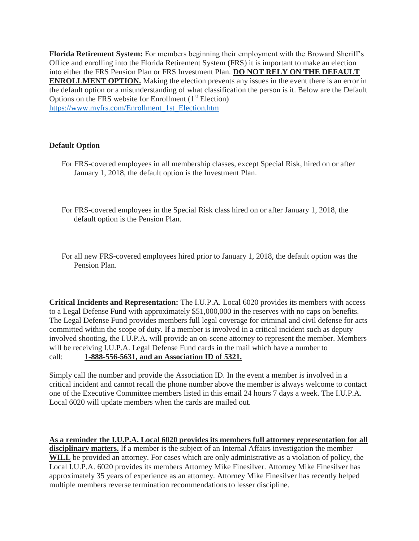**Florida Retirement System:** For members beginning their employment with the Broward Sheriff's Office and enrolling into the Florida Retirement System (FRS) it is important to make an election into either the FRS Pension Plan or FRS Investment Plan. **DO NOT RELY ON THE DEFAULT ENROLLMENT OPTION.** Making the election prevents any issues in the event there is an error in the default option or a misunderstanding of what classification the person is it. Below are the Default Options on the FRS website for Enrollment  $(1<sup>st</sup> Electron)$ [https://www.myfrs.com/Enrollment\\_1st\\_Election.htm](https://www.myfrs.com/Enrollment_1st_Election.htm)

## **Default Option**

- For FRS-covered employees in all membership classes, except Special Risk, hired on or after January 1, 2018, the default option is the Investment Plan.
- For FRS-covered employees in the Special Risk class hired on or after January 1, 2018, the default option is the Pension Plan.
- For all new FRS-covered employees hired prior to January 1, 2018, the default option was the Pension Plan.

**Critical Incidents and Representation:** The I.U.P.A. Local 6020 provides its members with access to a Legal Defense Fund with approximately \$51,000,000 in the reserves with no caps on benefits. The Legal Defense Fund provides members full legal coverage for criminal and civil defense for acts committed within the scope of duty. If a member is involved in a critical incident such as deputy involved shooting, the I.U.P.A. will provide an on-scene attorney to represent the member. Members will be receiving I.U.P.A. Legal Defense Fund cards in the mail which have a number to call: **1-888-556-5631, and an Association ID of 5321.**

Simply call the number and provide the Association ID. In the event a member is involved in a critical incident and cannot recall the phone number above the member is always welcome to contact one of the Executive Committee members listed in this email 24 hours 7 days a week. The I.U.P.A. Local 6020 will update members when the cards are mailed out.

**As a reminder the I.U.P.A. Local 6020 provides its members full attorney representation for all disciplinary matters.** If a member is the subject of an Internal Affairs investigation the member **WILL** be provided an attorney. For cases which are only administrative as a violation of policy, the Local I.U.P.A. 6020 provides its members Attorney Mike Finesilver. Attorney Mike Finesilver has approximately 35 years of experience as an attorney. Attorney Mike Finesilver has recently helped multiple members reverse termination recommendations to lesser discipline.